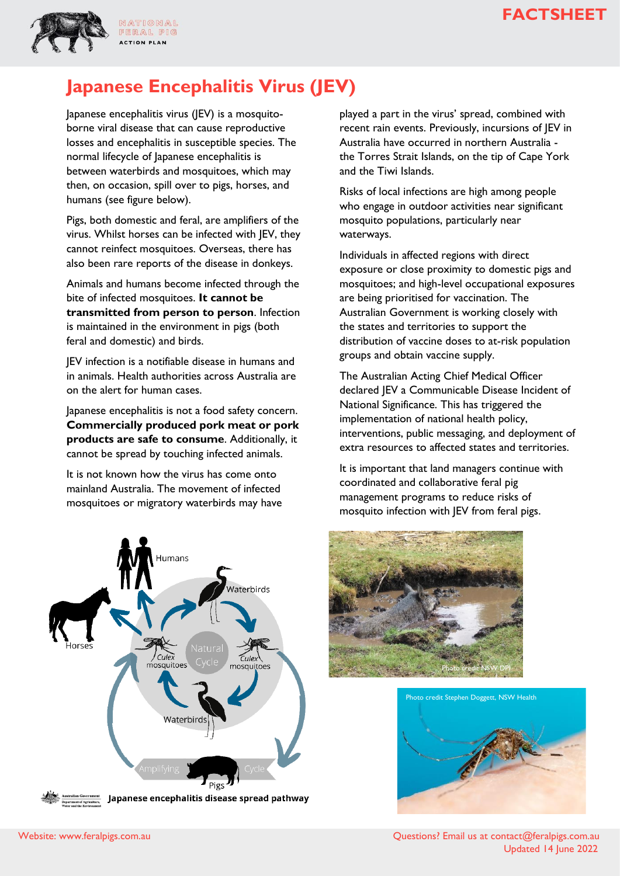



FERAL PIG **ACTION PLAN** 

# **Japanese Encephalitis Virus (JEV)**

Japanese encephalitis virus (JEV) is a mosquitoborne viral disease that can cause reproductive losses and encephalitis in susceptible species. The normal lifecycle of Japanese encephalitis is between waterbirds and mosquitoes, which may then, on occasion, spill over to pigs, horses, and humans (see figure below).

Pigs, both domestic and feral, are amplifiers of the virus. Whilst horses can be infected with JEV, they cannot reinfect mosquitoes. Overseas, there has also been rare reports of the disease in donkeys.

Animals and humans become infected through the bite of infected mosquitoes. **It cannot be transmitted from person to person**. Infection is maintained in the environment in pigs (both feral and domestic) and birds.

JEV infection is a notifiable disease in humans and in animals. Health authorities across Australia are on the alert for human cases.

Japanese encephalitis is not a food safety concern. **Commercially produced pork meat or pork products are safe to consume**. Additionally, it cannot be spread by touching infected animals.

It is not known how the virus has come onto mainland Australia. The movement of infected mosquitoes or migratory waterbirds may have



played a part in the virus' spread, combined with recent rain events. Previously, incursions of JEV in Australia have occurred in northern Australia the Torres Strait Islands, on the tip of Cape York and the Tiwi Islands.

Risks of local infections are high among people who engage in outdoor activities near significant mosquito populations, particularly near waterways.

Individuals in affected regions with direct exposure or close proximity to domestic pigs and mosquitoes; and high-level occupational exposures are being prioritised for vaccination. The Australian Government is working closely with the states and territories to support the distribution of vaccine doses to at-risk population groups and obtain vaccine supply.

The Australian Acting Chief Medical Officer declared JEV a Communicable Disease Incident of National Significance. This has triggered the implementation of national health policy, interventions, public messaging, and deployment of extra resources to affected states and territories.

It is important that land managers continue with coordinated and collaborative feral pig management programs to reduce risks of mosquito infection with JEV from feral pigs.